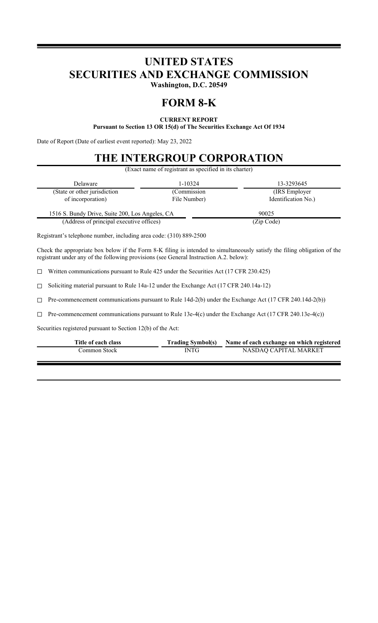# **UNITED STATES SECURITIES AND EXCHANGE COMMISSION**

**Washington, D.C. 20549**

## **FORM 8-K**

### **CURRENT REPORT Pursuant to Section 13 OR 15(d) of The Securities Exchange Act Of 1934**

Date of Report (Date of earliest event reported): May 23, 2022

# **THE INTERGROUP CORPORATION**

(Exact name of registrant as specified in its charter)

| <b>Delaware</b>                                 | 1-10324      | 13-3293645          |  |
|-------------------------------------------------|--------------|---------------------|--|
| (State or other jurisdiction                    | (Commission  | (IRS Employer)      |  |
| of incorporation)                               | File Number) | Identification No.) |  |
| 1516 S. Bundy Drive, Suite 200, Los Angeles, CA |              | 90025               |  |
| (Address of principal executive offices)        |              | (Zip Code)          |  |

Registrant's telephone number, including area code: (310) 889-2500

Check the appropriate box below if the Form 8-K filing is intended to simultaneously satisfy the filing obligation of the registrant under any of the following provisions (see General Instruction A.2. below):

☐ Written communications pursuant to Rule 425 under the Securities Act (17 CFR 230.425)

☐ Soliciting material pursuant to Rule 14a-12 under the Exchange Act (17 CFR 240.14a-12)

☐ Pre-commencement communications pursuant to Rule 14d-2(b) under the Exchange Act (17 CFR 240.14d-2(b))

☐ Pre-commencement communications pursuant to Rule 13e-4(c) under the Exchange Act (17 CFR 240.13e-4(c))

Securities registered pursuant to Section 12(b) of the Act:

| Title of each class |             | Trading Symbol(s) Name of each exchange on which registered |
|---------------------|-------------|-------------------------------------------------------------|
| Common Stock-       | <b>INTG</b> | NASDAO CAPITAL MARKET                                       |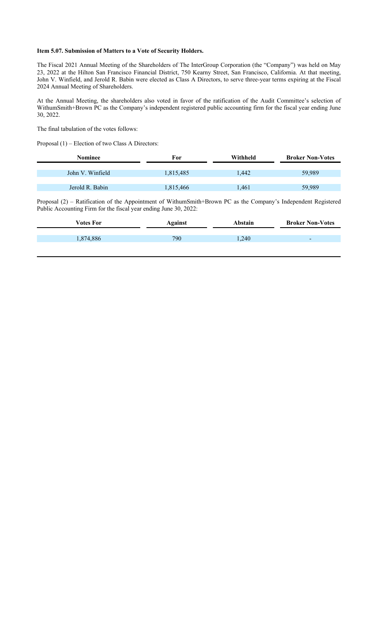#### **Item 5.07. Submission of Matters to a Vote of Security Holders.**

The Fiscal 2021 Annual Meeting of the Shareholders of The InterGroup Corporation (the "Company") was held on May 23, 2022 at the Hilton San Francisco Financial District, 750 Kearny Street, San Francisco, California. At that meeting, John V. Winfield, and Jerold R. Babin were elected as Class A Directors, to serve three-year terms expiring at the Fiscal 2024 Annual Meeting of Shareholders.

At the Annual Meeting, the shareholders also voted in favor of the ratification of the Audit Committee's selection of WithumSmith+Brown PC as the Company's independent registered public accounting firm for the fiscal year ending June 30, 2022.

The final tabulation of the votes follows:

Proposal (1) – Election of two Class A Directors:

| For       | Withheld | <b>Broker Non-Votes</b> |
|-----------|----------|-------------------------|
|           |          |                         |
| 1,815,485 | 1,442    | 59,989                  |
|           |          |                         |
| 1,815,466 | 1,461    | 59,989                  |
|           |          |                         |

Proposal (2) – Ratification of the Appointment of WithumSmith+Brown PC as the Company's Independent Registered Public Accounting Firm for the fiscal year ending June 30, 2022:

| Votes For | Against | Abstain | <b>Broker Non-Votes</b>  |
|-----------|---------|---------|--------------------------|
|           |         |         |                          |
| 1,874,886 | 790     | 1,240   | $\overline{\phantom{a}}$ |
|           |         |         |                          |